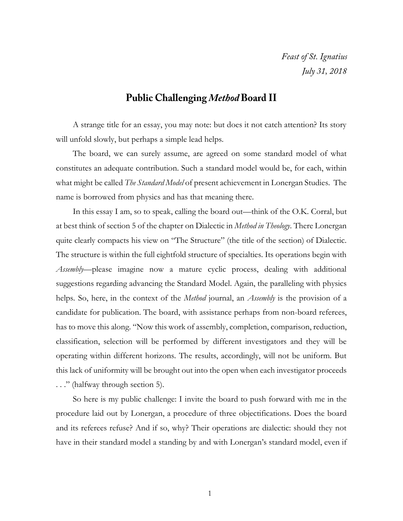Feast of St. Ignatius July 31, 2018

## **Public Challenging Method Board II**

A strange title for an essay, you may note: but does it not catch attention? Its story will unfold slowly, but perhaps a simple lead helps.

The board, we can surely assume, are agreed on some standard model of what constitutes an adequate contribution. Such a standard model would be, for each, within what might be called *The Standard Model* of present achievement in Lonergan Studies. The name is borrowed from physics and has that meaning there.

In this essay I am, so to speak, calling the board out—think of the O.K. Corral, but at best think of section 5 of the chapter on Dialectic in *Method in Theology*. There Lonergan quite clearly compacts his view on "The Structure" (the title of the section) of Dialectic. The structure is within the full eightfold structure of specialties. Its operations begin with *Assembly*—please imagine now a mature cyclic process, dealing with additional suggestions regarding advancing the Standard Model. Again, the paralleling with physics helps. So, here, in the context of the *Method* journal, an *Assembly* is the provision of a candidate for publication. The board, with assistance perhaps from non-board referees, has to move this along. "Now this work of assembly, completion, comparison, reduction, classification, selection will be performed by different investigators and they will be operating within different horizons. The results, accordingly, will not be uniform. But this lack of uniformity will be brought out into the open when each investigator proceeds . . ." (halfway through section 5).

So here is my public challenge: I invite the board to push forward with me in the procedure laid out by Lonergan, a procedure of three objectifications. Does the board and its referees refuse? And if so, why? Their operations are dialectic: should they not have in their standard model a standing by and with Lonergan's standard model, even if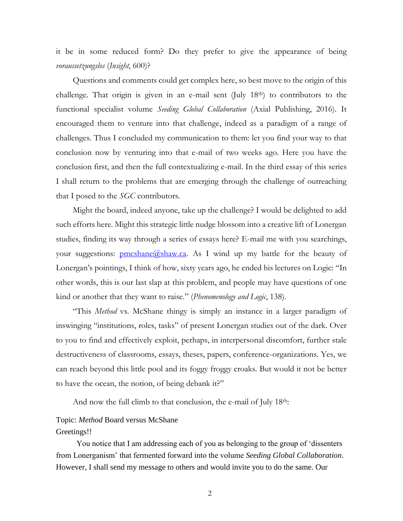it be in some reduced form? Do they prefer to give the appearance of being *voraussetzungslos* (*Insight*, 600)?

Questions and comments could get complex here, so best move to the origin of this challenge. That origin is given in an e-mail sent (July 18th) to contributors to the functional specialist volume *Seeding Global Collaboration* (Axial Publishing, 2016). It encouraged them to venture into that challenge, indeed as a paradigm of a range of challenges. Thus I concluded my communication to them: let you find your way to that conclusion now by venturing into that e-mail of two weeks ago. Here you have the conclusion first, and then the full contextualizing e-mail. In the third essay of this series I shall return to the problems that are emerging through the challenge of outreaching that I posed to the *SGC* contributors.

Might the board, indeed anyone, take up the challenge? I would be delighted to add such efforts here. Might this strategic little nudge blossom into a creative lift of Lonergan studies, finding its way through a series of essays here? E-mail me with you searchings, your suggestions:  $pmcshane(\omega)$ shaw.ca. As I wind up my battle for the beauty of Lonergan's pointings, I think of how, sixty years ago, he ended his lectures on Logic: "In other words, this is our last slap at this problem, and people may have questions of one kind or another that they want to raise." (*Phenomenology and Logic*, 138).

"This *Method* vs. McShane thingy is simply an instance in a larger paradigm of inswinging "institutions, roles, tasks" of present Lonergan studies out of the dark. Over to you to find and effectively exploit, perhaps, in interpersonal discomfort, further stale destructiveness of classrooms, essays, theses, papers, conference-organizations. Yes, we can reach beyond this little pool and its foggy froggy croaks. But would it not be better to have the ocean, the notion, of being debank it?"

And now the full climb to that conclusion, the e-mail of July 18th:

# Topic: *Method* Board versus McShane

#### Greetings!!

You notice that I am addressing each of you as belonging to the group of 'dissenters from Lonerganism' that fermented forward into the volume *Seeding Global Collaboration*. However, I shall send my message to others and would invite you to do the same. Our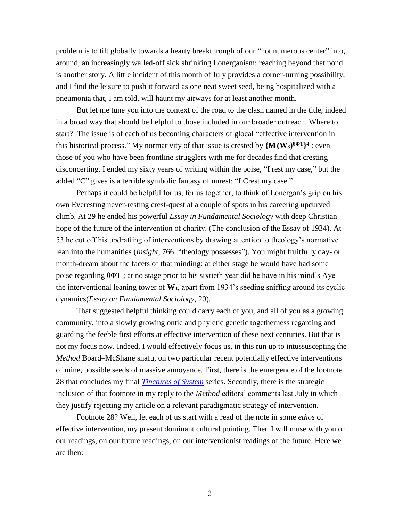problem is to tilt globally towards a hearty breakthrough of our "not numerous center" into, around, an increasingly walled-off sick shrinking Lonerganism: reaching beyond that pond is another story. A little incident of this month of July provides a corner-turning possibility, and I find the leisure to push it forward as one neat sweet seed, being hospitalized with a pneumonia that, I am told, will haunt my airways for at least another month.

But let me tune you into the context of the road to the clash named in the title, indeed in a broad way that should be helpful to those included in our broader outreach. Where to start? The issue is of each of us becoming characters of glocal "effective intervention in this historical process." My normativity of that issue is crested by  $\{M(W_3)^{\theta \Phi T}\}^4$ : even those of you who have been frontline strugglers with me for decades find that cresting disconcerting. I ended my sixty years of writing within the poise, "I rest my case," but the added "C" gives is a terrible symbolic fantasy of unrest: "I Crest my case."

Perhaps it could be helpful for us, for us together, to think of Lonergan's grip on his own Everesting never-resting crest-quest at a couple of spots in his careering upcurved climb. At 29 he ended his powerful *Essay in Fundamental Sociology* with deep Christian hope of the future of the intervention of charity. (The conclusion of the Essay of 1934). At 53 he cut off his updrafting of interventions by drawing attention to theology's normative lean into the humanities (*Insight*, 766: "theology possesses"). You might fruitfully day- or month-dream about the facets of that minding: at either stage he would have had some poise regarding θΦT ; at no stage prior to his sixtieth year did he have in his mind's Aye the interventional leaning tower of **W3**, apart from 1934's seeding sniffing around its cyclic dynamics(*Essay on Fundamental Sociology*, 20).

That suggested helpful thinking could carry each of you, and all of you as a growing community, into a slowly growing ontic and phyletic genetic togetherness regarding and guarding the feeble first efforts at effective intervention of these next centuries. But that is not my focus now. Indeed, I would effectively focus us, in this run up to intussuscepting the *Method* Board–McShane snafu, on two particular recent potentially effective interventions of mine, possible seeds of massive annoyance. First, there is the emergence of the footnote 28 that concludes my final *[Tinctures of System](http://www.philipmcshane.org/tinctures/)* series. Secondly, there is the strategic inclusion of that footnote in my reply to the *Method* editors' comments last July in which they justify rejecting my article on a relevant paradigmatic strategy of intervention.

Footnote 28? Well, let each of us start with a read of the note in some *ethos* of effective intervention, my present dominant cultural pointing. Then I will muse with you on our readings, on our future readings, on our interventionist readings of the future. Here we are then: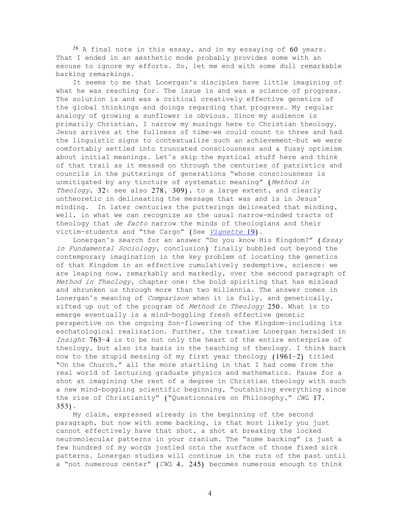$28$  A final note in this essay, and in my essaying of  $60$  years. That I ended in an aesthetic mode probably provides some with an excuse to ignore my efforts. So, let me end with some dull remarkable barking remarkings.

It seems to me that Lonergan's disciples have little imagining of what he was reaching for. The issue is and was a science of progress. The solution is and was a critical creatively effective genetics of the global thinkings and doings regarding that progress. My regular analogy of growing a sunflower is obvious. Since my audience is primarily Christian, I narrow my musings here to Christian theology. Jesus arrives at the fullness of time—we could count to three and had the linguistic signs to contextualize such an achievement—but we were comfortably settled into truncated consciousness and a fussy optimism about initial meanings. Let's skip the mystical stuff here and think of that trail as it messed on through the centuries of patristics and councils in the putterings of generations "whose consciousness is unmitigated by any tincture of systematic meaning" (Method in Theology, 32: see also 278, 309), to a large extent, and clearly untheoretic in delineating the message that was and is in Jesus' minding. In later centuries the putterings delineated that minding, well, in what we can recognize as the usual narrow-minded tracts of theology that de facto narrow the minds of theologians and their victim-students and "the Cargo" (See [Vignette](http://www.philipmcshane.org/wp-content/themes/philip/online_publications/series/vignettes/Vignette%2019.pdf) 19).

Lonergan's search for an answer "Do you know His Kingdom?" (Essay in Fundamental Sociology, conclusion) finally bubbled out beyond the contemporary imagination in the key problem of locating the genetics of that Kingdom in an effective cumulatively redemptive, science: we are leaping now, remarkably and markedly, over the second paragraph of Method in Theology, chapter one: the bold spiriting that has mislead and shrunken us through more than two millennia. The answer comes in Lonergan's meaning of Comparison when it is fully, and genetically, sifted up out of the program of *Method in Theology* 250. What is to emerge eventually is a mind-boggling fresh effective genetic perspective on the ongoing Son-flowering of the Kingdom—including its eschatological realization. Further, the treatise Lonergan heralded in Insight 763–4 is to be not only the heart of the entire enterprise of theology, but also its basis in the teaching of theology. I think back now to the stupid messing of my first year theology (1961–2) titled "On the Church," all the more startling in that I had come from the real world of lecturing graduate physics and mathematics. Pause for a shot at imagining the rest of a degree in Christian theology with such a new mind-boggling scientific beginning, "outshining everything since the rise of Christianity" ("Questionnaire on Philosophy," CWL 17, 353).

My claim, expressed already in the beginning of the second paragraph, but now with some backing, is that most likely you just cannot effectively have that shot, a shot at breaking the locked neuromolecular patterns in your cranium. The "some backing" is just a few hundred of my words jostled onto the surface of those fixed sick patterns. Lonergan studies will continue in the ruts of the past until a "not numerous center" (CWL 4, 245) becomes numerous enough to think

4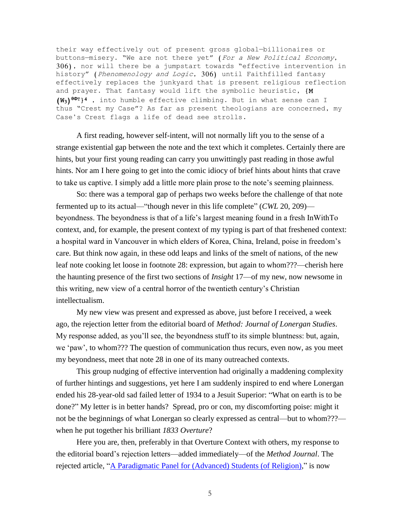their way effectively out of present gross global—billionaires or buttons-misery. "We are not there yet" (For a New Political Economy, 306), nor will there be a jumpstart towards "effective intervention in history" (Phenomenology and Logic, 306) until Faithfilled fantasy effectively replaces the junkyard that is present religious reflection and prayer. That fantasy would lift the symbolic heuristic, {M (W3) **θΦ**<sup>T</sup>}<sup>4</sup> , into humble effective climbing. But in what sense can I thus "Crest my Case"? As far as present theologians are concerned, my Case's Crest flags a life of dead see strolls.

A first reading, however self-intent, will not normally lift you to the sense of a strange existential gap between the note and the text which it completes. Certainly there are hints, but your first young reading can carry you unwittingly past reading in those awful hints. Nor am I here going to get into the comic idiocy of brief hints about hints that crave to take us captive. I simply add a little more plain prose to the note's seeming plainness.

So: there was a temporal gap of perhaps two weeks before the challenge of that note fermented up to its actual—"though never in this life complete" (*CWL* 20, 209) beyondness. The beyondness is that of a life's largest meaning found in a fresh InWithTo context, and, for example, the present context of my typing is part of that freshened context: a hospital ward in Vancouver in which elders of Korea, China, Ireland, poise in freedom's care. But think now again, in these odd leaps and links of the smelt of nations, of the new leaf note cooking let loose in footnote 28: expression, but again to whom???—cherish here the haunting presence of the first two sections of *Insight* 17—of my new, now newsome in this writing, new view of a central horror of the twentieth century's Christian intellectualism.

My new view was present and expressed as above, just before I received, a week ago, the rejection letter from the editorial board of *Method: Journal of Lonergan Studies*. My response added, as you'll see, the beyondness stuff to its simple bluntness: but, again, we 'paw', to whom??? The question of communication thus recurs, even now, as you meet my beyondness, meet that note 28 in one of its many outreached contexts.

This group nudging of effective intervention had originally a maddening complexity of further hintings and suggestions, yet here I am suddenly inspired to end where Lonergan ended his 28-year-old sad failed letter of 1934 to a Jesuit Superior: "What on earth is to be done?" My letter is in better hands? Spread, pro or con, my discomforting poise: might it not be the beginnings of what Lonergan so clearly expressed as central—but to whom??? when he put together his brilliant *1833 Overture*?

Here you are, then, preferably in that Overture Context with others, my response to the editorial board's rejection letters—added immediately—of the *Method Journal*. The rejected article, ["A Paradigmatic Panel for \(Advanced\) Students \(of Religion\),](http://www.philipmcshane.org/wp-content/themes/philip/online_publications/articles/A%20Paradigmatic%20Panel_final%20with%20appendix.pdf)" is now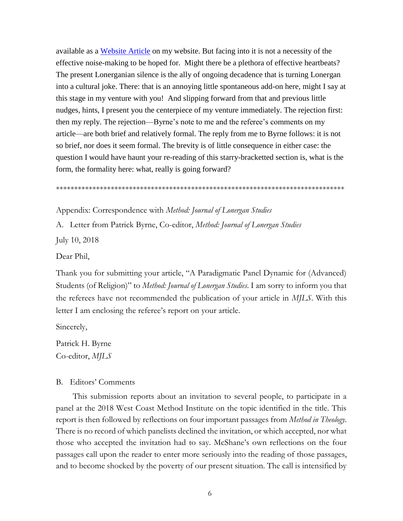available as a [Website Article](http://www.philipmcshane.org/website-articles/) on my website. But facing into it is not a necessity of the effective noise-making to be hoped for. Might there be a plethora of effective heartbeats? The present Lonerganian silence is the ally of ongoing decadence that is turning Lonergan into a cultural joke. There: that is an annoying little spontaneous add-on here, might I say at this stage in my venture with you! And slipping forward from that and previous little nudges, hints, I present you the centerpiece of my venture immediately. The rejection first: then my reply. The rejection—Byrne's note to me and the referee's comments on my article—are both brief and relatively formal. The reply from me to Byrne follows: it is not so brief, nor does it seem formal. The brevity is of little consequence in either case: the question I would have haunt your re-reading of this starry-bracketted section is, what is the form, the formality here: what, really is going forward?

\*\*\*\*\*\*\*\*\*\*\*\*\*\*\*\*\*\*\*\*\*\*\*\*\*\*\*\*\*\*\*\*\*\*\*\*\*\*\*\*\*\*\*\*\*\*\*\*\*\*\*\*\*\*\*\*\*\*\*\*\*\*\*\*\*\*\*\*\*\*\*\*\*\*\*\*\*\*\*

Appendix: Correspondence with *Method: Journal of Lonergan Studies*

A. Letter from Patrick Byrne, Co-editor, *Method: Journal of Lonergan Studies*

July 10, 2018

Dear Phil,

Thank you for submitting your article, "A Paradigmatic Panel Dynamic for (Advanced) Students (of Religion)" to *Method: Journal of Lonergan Studies*. I am sorry to inform you that the referees have not recommended the publication of your article in *MJLS*. With this letter I am enclosing the referee's report on your article.

Sincerely,

Patrick H. Byrne Co-editor, *MJLS*

#### B. Editors' Comments

This submission reports about an invitation to several people, to participate in a panel at the 2018 West Coast Method Institute on the topic identified in the title. This report is then followed by reflections on four important passages from *Method in Theology*. There is no record of which panelists declined the invitation, or which accepted, nor what those who accepted the invitation had to say. McShane's own reflections on the four passages call upon the reader to enter more seriously into the reading of those passages, and to become shocked by the poverty of our present situation. The call is intensified by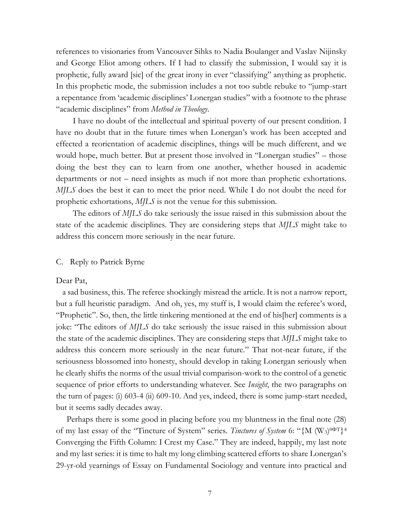references to visionaries from Vancouver Sihks to Nadia Boulanger and Vaslav Nijinsky and George Eliot among others. If I had to classify the submission, I would say it is prophetic, fully award [sic] of the great irony in ever "classifying" anything as prophetic. In this prophetic mode, the submission includes a not too subtle rebuke to "jump-start a repentance from 'academic disciplines' Lonergan studies" with a footnote to the phrase "academic disciplines" from *Method in Theology*.

I have no doubt of the intellectual and spiritual poverty of our present condition. I have no doubt that in the future times when Lonergan's work has been accepted and effected a reorientation of academic disciplines, things will be much different, and we would hope, much better. But at present those involved in "Lonergan studies" – those doing the best they can to learn from one another, whether housed in academic departments or not – need insights as much if not more than prophetic exhortations. *MJLS* does the best it can to meet the prior need. While I do not doubt the need for prophetic exhortations, *MJLS* is not the venue for this submission.

The editors of *MJLS* do take seriously the issue raised in this submission about the state of the academic disciplines. They are considering steps that *MJLS* might take to address this concern more seriously in the near future.

### C. Reply to Patrick Byrne

Dear Pat,

a sad business, this. The referee shockingly misread the article. It is not a narrow report, but a full heuristic paradigm. And oh, yes, my stuff is, I would claim the referee's word, "Prophetic". So, then, the little tinkering mentioned at the end of his[her] comments is a joke: "The editors of *MJLS* do take seriously the issue raised in this submission about the state of the academic disciplines. They are considering steps that *MJLS* might take to address this concern more seriously in the near future." That not-near future, if the seriousness blossomed into honesty, should develop in taking Lonergan seriously when he clearly shifts the norms of the usual trivial comparison-work to the control of a genetic sequence of prior efforts to understanding whatever. See *Insight*, the two paragraphs on the turn of pages: (i) 603-4 (ii) 609-10. And yes, indeed, there is some jump-start needed, but it seems sadly decades away.

 Perhaps there is some good in placing before you my bluntness in the final note (28) of my last essay of the "Tincture of System" series. *Tinctures of System* 6: "{M (W<sub>3</sub>)<sup>0ΦT}4</sup> Converging the Fifth Column: I Crest my Case." They are indeed, happily, my last note and my last series: it is time to halt my long climbing scattered efforts to share Lonergan's 29-yr-old yearnings of Essay on Fundamental Sociology and venture into practical and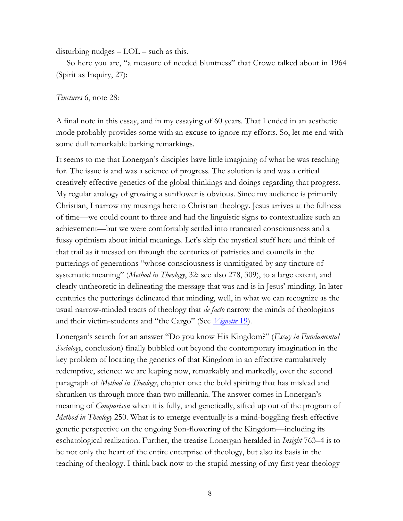disturbing nudges – LOL – such as this.

 So here you are, "a measure of needed bluntness" that Crowe talked about in 1964 (Spirit as Inquiry, 27):

### *Tinctures* 6, note 28:

A final note in this essay, and in my essaying of 60 years. That I ended in an aesthetic mode probably provides some with an excuse to ignore my efforts. So, let me end with some dull remarkable barking remarkings.

It seems to me that Lonergan's disciples have little imagining of what he was reaching for. The issue is and was a science of progress. The solution is and was a critical creatively effective genetics of the global thinkings and doings regarding that progress. My regular analogy of growing a sunflower is obvious. Since my audience is primarily Christian, I narrow my musings here to Christian theology. Jesus arrives at the fullness of time—we could count to three and had the linguistic signs to contextualize such an achievement—but we were comfortably settled into truncated consciousness and a fussy optimism about initial meanings. Let's skip the mystical stuff here and think of that trail as it messed on through the centuries of patristics and councils in the putterings of generations "whose consciousness is unmitigated by any tincture of systematic meaning" (*Method in Theology*, 32: see also 278, 309), to a large extent, and clearly untheoretic in delineating the message that was and is in Jesus' minding. In later centuries the putterings delineated that minding, well, in what we can recognize as the usual narrow-minded tracts of theology that *de facto* narrow the minds of theologians and their victim-students and "the Cargo" (See *[Vignette](http://www.philipmcshane.org/wp-content/themes/philip/online_publications/series/vignettes/Vignette%2019.pdf)* 19).

Lonergan's search for an answer "Do you know His Kingdom?" (*Essay in Fundamental Sociology*, conclusion) finally bubbled out beyond the contemporary imagination in the key problem of locating the genetics of that Kingdom in an effective cumulatively redemptive, science: we are leaping now, remarkably and markedly, over the second paragraph of *Method in Theology*, chapter one: the bold spiriting that has mislead and shrunken us through more than two millennia. The answer comes in Lonergan's meaning of *Comparison* when it is fully, and genetically, sifted up out of the program of *Method in Theology* 250. What is to emerge eventually is a mind-boggling fresh effective genetic perspective on the ongoing Son-flowering of the Kingdom—including its eschatological realization. Further, the treatise Lonergan heralded in *Insight* 763–4 is to be not only the heart of the entire enterprise of theology, but also its basis in the teaching of theology. I think back now to the stupid messing of my first year theology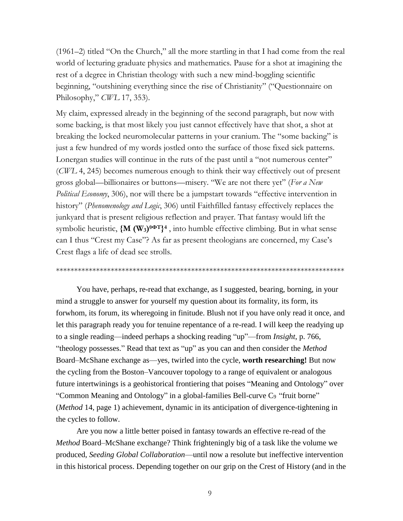(1961–2) titled "On the Church," all the more startling in that I had come from the real world of lecturing graduate physics and mathematics. Pause for a shot at imagining the rest of a degree in Christian theology with such a new mind-boggling scientific beginning, "outshining everything since the rise of Christianity" ("Questionnaire on Philosophy," *CWL* 17, 353).

My claim, expressed already in the beginning of the second paragraph, but now with some backing, is that most likely you just cannot effectively have that shot, a shot at breaking the locked neuromolecular patterns in your cranium. The "some backing" is just a few hundred of my words jostled onto the surface of those fixed sick patterns. Lonergan studies will continue in the ruts of the past until a "not numerous center" (*CWL* 4, 245) becomes numerous enough to think their way effectively out of present gross global—billionaires or buttons—misery. "We are not there yet" (*For a New Political Economy*, 306), nor will there be a jumpstart towards "effective intervention in history" (*Phenomenology and Logic*, 306) until Faithfilled fantasy effectively replaces the junkyard that is present religious reflection and prayer. That fantasy would lift the symbolic heuristic, **{M (W3) θΦT} 4** , into humble effective climbing. But in what sense can I thus "Crest my Case"? As far as present theologians are concerned, my Case's Crest flags a life of dead see strolls.

#### \*\*\*\*\*\*\*\*\*\*\*\*\*\*\*\*\*\*\*\*\*\*\*\*\*\*\*\*\*\*\*\*\*\*\*\*\*\*\*\*\*\*\*\*\*\*\*\*\*\*\*\*\*\*\*\*\*\*\*\*\*\*\*\*\*\*\*\*\*\*\*\*\*\*\*\*\*\*\*

You have, perhaps, re-read that exchange, as I suggested, bearing, borning, in your mind a struggle to answer for yourself my question about its formality, its form, its forwhom, its forum, its wheregoing in finitude. Blush not if you have only read it once, and let this paragraph ready you for tenuine repentance of a re-read. I will keep the readying up to a single reading—indeed perhaps a shocking reading "up"—from *Insight*, p. 766, "theology possesses." Read that text as "up" as you can and then consider the *Method* Board–McShane exchange as—yes, twirled into the cycle, **worth researching!** But now the cycling from the Boston–Vancouver topology to a range of equivalent or analogous future intertwinings is a geohistorical frontiering that poises "Meaning and Ontology" over "Common Meaning and Ontology" in a global-families Bell-curve C<sub>9</sub> "fruit borne" (*Method* 14, page 1) achievement, dynamic in its anticipation of divergence-tightening in the cycles to follow.

Are you now a little better poised in fantasy towards an effective re-read of the *Method* Board–McShane exchange? Think frighteningly big of a task like the volume we produced, *Seeding Global Collaboration*—until now a resolute but ineffective intervention in this historical process. Depending together on our grip on the Crest of History (and in the